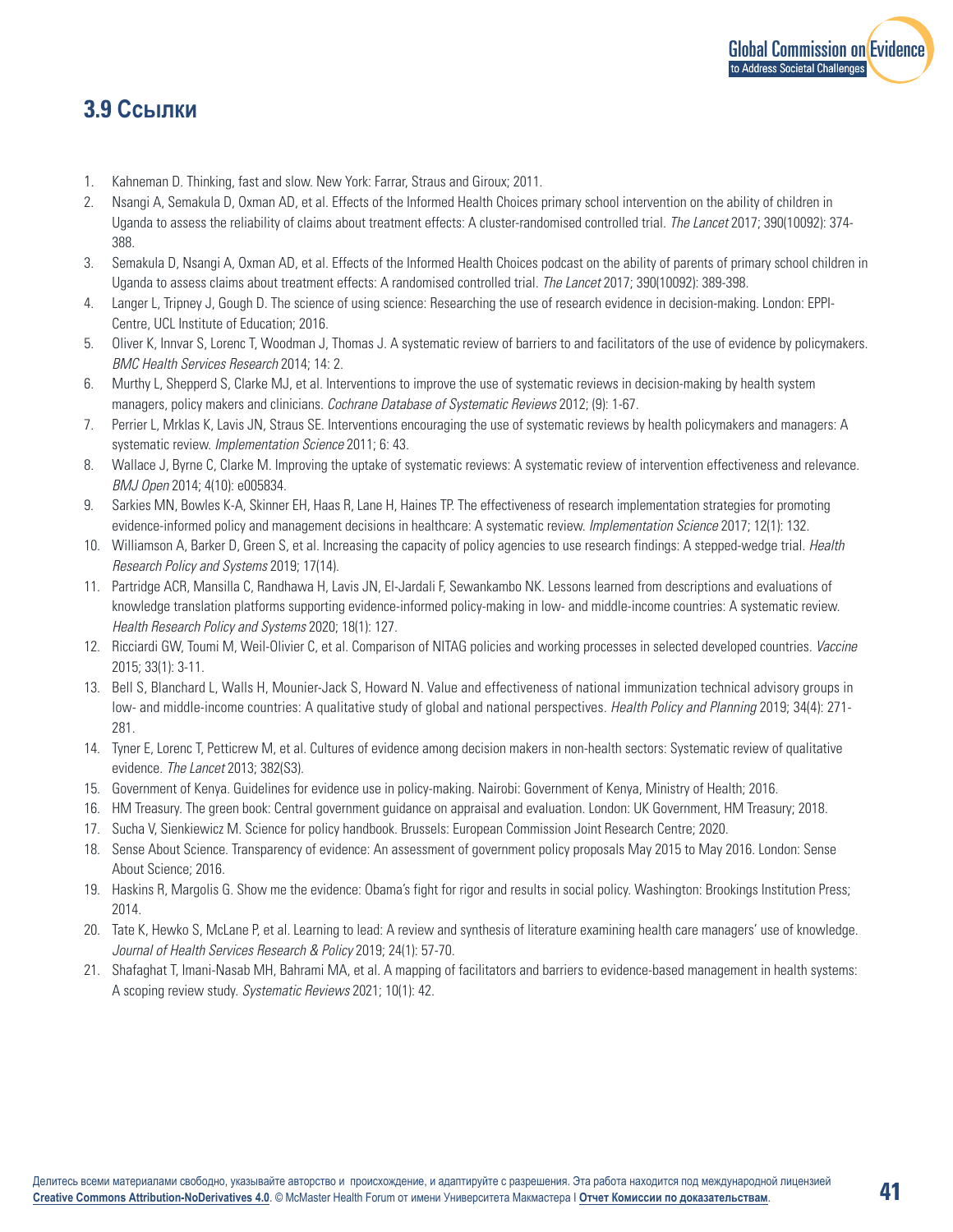

## **3.9 Ссылки**

- 1. Kahneman D. Thinking, fast and slow. New York: Farrar, Straus and Giroux; 2011.
- 2. Nsangi A, Semakula D, Oxman AD, et al. Effects of the Informed Health Choices primary school intervention on the ability of children in Uganda to assess the reliability of claims about treatment effects: A cluster-randomised controlled trial. *The Lancet* 2017; 390(10092): 374- 388.
- 3. Semakula D, Nsangi A, Oxman AD, et al. Effects of the Informed Health Choices podcast on the ability of parents of primary school children in Uganda to assess claims about treatment effects: A randomised controlled trial. *The Lancet* 2017; 390(10092): 389-398.
- Langer L, Tripney J, Gough D. The science of using science: Researching the use of research evidence in decision-making. London: EPPI-Centre, UCL Institute of Education; 2016.
- 5. Oliver K, Innvar S, Lorenc T, Woodman J, Thomas J. A systematic review of barriers to and facilitators of the use of evidence by policymakers. *BMC Health Services Research* 2014; 14: 2.
- 6. Murthy L, Shepperd S, Clarke MJ, et al. Interventions to improve the use of systematic reviews in decision-making by health system managers, policy makers and clinicians. *Cochrane Database of Systematic Reviews* 2012; (9): 1-67.
- 7. Perrier L, Mrklas K, Lavis JN, Straus SE. Interventions encouraging the use of systematic reviews by health policymakers and managers: A systematic review. *Implementation Science* 2011; 6: 43.
- 8. Wallace J, Byrne C, Clarke M. Improving the uptake of systematic reviews: A systematic review of intervention effectiveness and relevance. *BMJ Open* 2014; 4(10): e005834.
- 9. Sarkies MN, Bowles K-A, Skinner EH, Haas R, Lane H, Haines TP. The effectiveness of research implementation strategies for promoting evidence-informed policy and management decisions in healthcare: A systematic review. *Implementation Science* 2017; 12(1): 132.
- 10. Williamson A, Barker D, Green S, et al. Increasing the capacity of policy agencies to use research findings: A stepped-wedge trial. *Health Research Policy and Systems* 2019; 17(14).
- 11. Partridge ACR, Mansilla C, Randhawa H, Lavis JN, El-Jardali F, Sewankambo NK. Lessons learned from descriptions and evaluations of knowledge translation platforms supporting evidence-informed policy-making in low- and middle-income countries: A systematic review. *Health Research Policy and Systems* 2020; 18(1): 127.
- 12. Ricciardi GW, Toumi M, Weil-Olivier C, et al. Comparison of NITAG policies and working processes in selected developed countries. *Vaccine* 2015; 33(1): 3-11.
- 13. Bell S, Blanchard L, Walls H, Mounier-Jack S, Howard N. Value and effectiveness of national immunization technical advisory groups in low- and middle-income countries: A qualitative study of global and national perspectives. *Health Policy and Planning* 2019; 34(4): 271- 281.
- 14. Tyner E, Lorenc T, Petticrew M, et al. Cultures of evidence among decision makers in non-health sectors: Systematic review of qualitative evidence. *The Lancet* 2013; 382(S3).
- 15. Government of Kenya. Guidelines for evidence use in policy-making. Nairobi: Government of Kenya, Ministry of Health; 2016.
- 16. HM Treasury. The green book: Central government guidance on appraisal and evaluation. London: UK Government, HM Treasury; 2018.
- 17. Sucha V, Sienkiewicz M. Science for policy handbook. Brussels: European Commission Joint Research Centre; 2020.
- 18. Sense About Science. Transparency of evidence: An assessment of government policy proposals May 2015 to May 2016. London: Sense About Science; 2016.
- 19. Haskins R, Margolis G. Show me the evidence: Obama's fight for rigor and results in social policy. Washington: Brookings Institution Press; 2014.
- 20. Tate K, Hewko S, McLane P, et al. Learning to lead: A review and synthesis of literature examining health care managers' use of knowledge. *Journal of Health Services Research & Policy* 2019; 24(1): 57-70.
- 21. Shafaghat T, Imani-Nasab MH, Bahrami MA, et al. A mapping of facilitators and barriers to evidence-based management in health systems: A scoping review study. *Systematic Reviews* 2021; 10(1): 42.